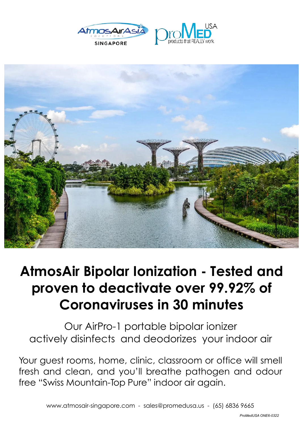





## **AtmosAir Bipolar Ionization - Tested and proven to deactivate over 99.92% of Coronaviruses in 30 minutes**

 actively disinfects and deodorizes your indoor air Our AirPro-1 portable bipolar ionizer

 $\check{\phantom{a}}$ Your guest rooms, home, clinic, classroom or office will smell fresh and clean, and you'll breathe pathogen and odour free "Swiss Mountain-Top Pure" indoor air again.